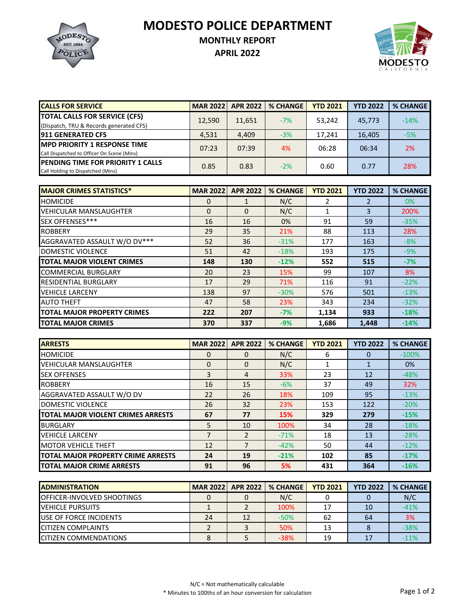**MODESTO POLICE DEPARTMENT**



## **MONTHLY REPORT**

**APRIL 2022**



| <b>CALLS FOR SERVICE</b>                                                           | <b>MAR 20221</b> | <b>APR 2022</b> | <b>% CHANGE</b> | <b>YTD 2021</b> | <b>YTD 2022</b> | <b>% CHANGE</b> |
|------------------------------------------------------------------------------------|------------------|-----------------|-----------------|-----------------|-----------------|-----------------|
| <b>TOTAL CALLS FOR SERVICE (CFS)</b><br>(Dispatch, TRU & Records generated CFS)    | 12,590           | 11,651          | $-7%$           | 53,242          | 45.773          | $-14%$          |
| <b>911 GENERATED CFS</b>                                                           | 4,531            | 4,409           | $-3%$           | 17,241          | 16,405          | $-5%$           |
| <b>IMPD PRIORITY 1 RESPONSE TIME</b><br>Call Dispatched to Officer On Scene (Mins) | 07:23            | 07:39           | 4%              | 06:28           | 06:34           | 2%              |
| <b>PENDING TIME FOR PRIORITY 1 CALLS</b><br>Call Holding to Dispatched (Mins)      | 0.85             | 0.83            | $-2%$           | 0.60            | 0.77            | 28%             |

| <b>MAJOR CRIMES STATISTICS*</b>    | <b>MAR 2022</b> | <b>APR 2022</b> | <b>% CHANGE</b> | <b>YTD 2021</b> | <b>YTD 2022</b> | <b>% CHANGE</b> |
|------------------------------------|-----------------|-----------------|-----------------|-----------------|-----------------|-----------------|
| <b>HOMICIDE</b>                    | 0               |                 | N/C             |                 | 2               | 0%              |
| <b>VEHICULAR MANSLAUGHTER</b>      | $\Omega$        | $\Omega$        | N/C             |                 | 3               | 200%            |
| SEX OFFENSES***                    | 16              | 16              | 0%              | 91              | 59              | $-35%$          |
| <b>ROBBERY</b>                     | 29              | 35              | 21%             | 88              | 113             | 28%             |
| AGGRAVATED ASSAULT W/O DV***       | 52              | 36              | $-31%$          | 177             | 163             | $-8%$           |
| <b>DOMESTIC VIOLENCE</b>           | 51              | 42              | $-18%$          | 193             | 175             | $-9%$           |
| <b>TOTAL MAJOR VIOLENT CRIMES</b>  | 148             | 130             | $-12%$          | 552             | 515             | $-7%$           |
| <b>COMMERCIAL BURGLARY</b>         | 20              | 23              | 15%             | 99              | 107             | 8%              |
| <b>RESIDENTIAL BURGLARY</b>        | 17              | 29              | 71%             | 116             | 91              | $-22%$          |
| <b>VEHICLE LARCENY</b>             | 138             | 97              | $-30%$          | 576             | 501             | $-13%$          |
| <b>AUTO THEFT</b>                  | 47              | 58              | 23%             | 343             | 234             | $-32%$          |
| <b>TOTAL MAJOR PROPERTY CRIMES</b> | 222             | 207             | $-7%$           | 1,134           | 933             | $-18%$          |
| <b>TOTAL MAJOR CRIMES</b>          | 370             | 337             | $-9%$           | 1,686           | 1,448           | $-14%$          |

| <b>ARRESTS</b>                     | <b>MAR 2022</b> | <b>APR 2022</b> | <b>% CHANGE</b> | <b>YTD 2021</b> | <b>YTD 2022</b> | <b>% CHANGE</b> |
|------------------------------------|-----------------|-----------------|-----------------|-----------------|-----------------|-----------------|
| <b>HOMICIDE</b>                    | 0               | 0               | N/C             | 6               |                 | $-100%$         |
| <b>VEHICULAR MANSLAUGHTER</b>      | 0               | $\Omega$        | N/C             |                 |                 | 0%              |
| <b>SEX OFFENSES</b>                | 3               | 4               | 33%             | 23              | 12              | $-48%$          |
| <b>ROBBERY</b>                     | 16              | 15              | $-6%$           | 37              | 49              | 32%             |
| AGGRAVATED ASSAULT W/O DV          | 22              | 26              | 18%             | 109             | 95              | $-13%$          |
| DOMESTIC VIOLENCE                  | 26              | 32              | 23%             | 153             | 122             | $-20%$          |
| TOTAL MAJOR VIOLENT CRIMES ARRESTS | 67              | 77              | 15%             | 329             | 279             | $-15%$          |
| <b>BURGLARY</b>                    | 5               | 10              | 100%            | 34              | 28              | $-18%$          |
| <b>VEHICLE LARCENY</b>             | 7               | $\mathfrak{p}$  | $-71%$          | 18              | 13              | $-28%$          |
| <b>MOTOR VEHICLE THEFT</b>         | 12              | 7               | $-42%$          | 50              | 44              | $-12%$          |
| TOTAL MAJOR PROPERTY CRIME ARRESTS | 24              | 19              | $-21%$          | 102             | 85              | $-17%$          |
| <b>TOTAL MAJOR CRIME ARRESTS</b>   | 91              | 96              | 5%              | 431             | 364             | $-16%$          |

| <b>IADMINISTRATION</b>             | <b>MAR 2022</b> | APR 2022 | <b>% CHANGE</b> | <b>YTD 2021</b> | <b>YTD 2022</b> | % CHANGE |
|------------------------------------|-----------------|----------|-----------------|-----------------|-----------------|----------|
| <b>IOFFICER-INVOLVED SHOOTINGS</b> |                 |          | N/C             |                 |                 | N/C      |
| <b>VEHICLE PURSUITS</b>            |                 |          | 100%            |                 | 10              | $-41%$   |
| <b>IUSE OF FORCE INCIDENTS</b>     | 24              | 12       | $-50%$          | 62              | 64              | 3%       |
| <b>CITIZEN COMPLAINTS</b>          |                 |          | 50%             |                 |                 | $-38%$   |
| <b>CITIZEN COMMENDATIONS</b>       |                 |          | $-38%$          | 19              |                 | $-11%$   |